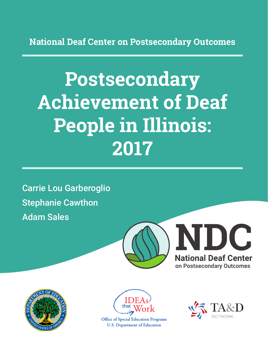**National Deaf Center on Postsecondary Outcomes**

# **Postsecondary Achievement of Deaf People in Illinois: 2017**

Carrie Lou Garberoglio Stephanie Cawthon Adam Sales







**Office of Special Education Programs U.S. Department of Education** 

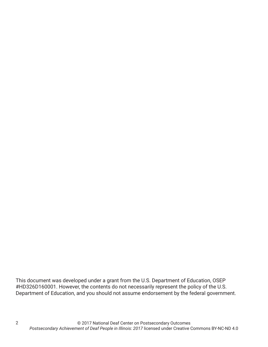This document was developed under a grant from the U.S. Department of Education, OSEP #HD326D160001. However, the contents do not necessarily represent the policy of the U.S. Department of Education, and you should not assume endorsement by the federal government.

2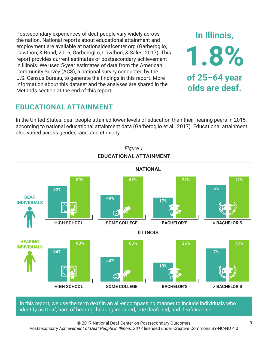Postsecondary experiences of deaf people vary widely across the nation. National reports about educational attainment and employment are available at nationaldeafcenter.org (Garberoglio, Cawthon, & Bond, 2016; Garberoglio, Cawthon, & Sales, 2017). This report provides current estimates of postsecondary achievement in Illinois. We used 5-year estimates of data from the American Community Survey (ACS), a national survey conducted by the U.S. Census Bureau, to generate the findings in this report. More information about this dataset and the analyses are shared in the Methods section at the end of this report.

## **EDUCATIONAL ATTAINMENT**

In the United States, deaf people attained lower levels of education than their hearing peers in 2015, according to national educational attainment data (Garberoglio et al., 2017). Educational attainment also varied across gender, race, and ethnicity.



In this report, we use the term *deaf* in an all-encompassing manner to include individuals who identify as Deaf, hard of hearing, hearing impaired, late deafened, and deafdisabled.

© 2017 National Deaf Center on Postsecondary Outcomes *Postsecondary Achievement of Deaf People in Illinois: 2017* licensed under Creative Commons BY-NC-ND 4.0

**In Illinois,**

**1.8%**

**of 25–64 year**

**olds are deaf.**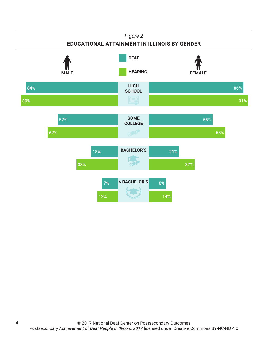#### *Figure 2*

#### **EDUCATIONAL ATTAINMENT IN ILLINOIS BY GENDER**



4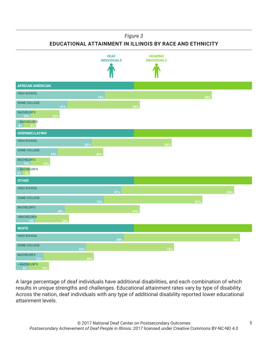*Figure 3*

**EDUCATIONAL ATTAINMENT IN ILLINOIS BY RACE AND ETHNICITY**



A large percentage of deaf individuals have additional disabilities, and each combination of which results in unique strengths and challenges. Educational attainment rates vary by type of disability. Across the nation, deaf individuals with any type of additional disability reported lower educational attainment levels.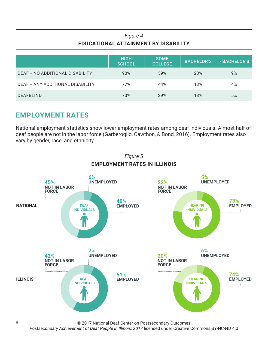#### *Figure 4* **EDUCATIONAL ATTAINMENT BY DISABILITY**

|                                  | <b>HIGH</b><br><b>SCHOOL</b> | <b>SOME</b><br><b>COLLEGE</b> | <b>BACHELOR'S</b> | > BACHELOR'S |
|----------------------------------|------------------------------|-------------------------------|-------------------|--------------|
| DEAF + NO ADDITIONAL DISABILITY  | 90%                          | 59%                           | 23%               | 9%           |
| DEAF + ANY ADDITIONAL DISABILITY | 77%                          | 44%                           | 13%               | 4%           |
| <b>DEAFBLIND</b>                 | 70%                          | 39%                           | 13%               | 5%           |

### **EMPLOYMENT RATES**

National employment statistics show lower employment rates among deaf individuals. Almost half of deaf people are not in the labor force (Garberoglio, Cawthon, & Bond, 2016). Employment rates also vary by gender, race, and ethnicity.



© 2017 National Deaf Center on Postsecondary Outcomes

*Postsecondary Achievement of Deaf People in Illinois: 2017* licensed under Creative Commons BY-NC-ND 4.0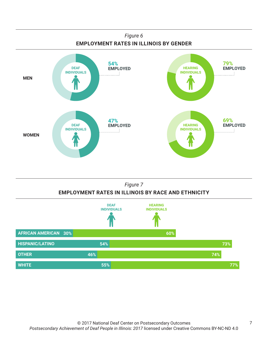

#### *Figure 7* **EMPLOYMENT RATES IN ILLINOIS BY RACE AND ETHNICITY**

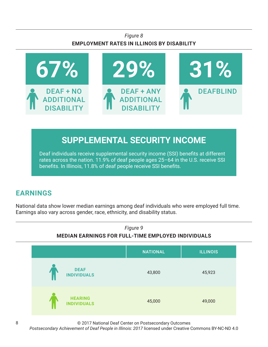#### *Figure 8* **EMPLOYMENT RATES IN ILLINOIS BY DISABILITY**



# **SUPPLEMENTAL SECURITY INCOME**

Deaf individuals receive supplemental security income (SSI) benefits at different rates across the nation. 11.9% of deaf people ages 25–64 in the U.S. receive SSI benefits. In Illinois, 11.8% of deaf people receive SSI benefits.

## **EARNINGS**

National data show lower median earnings among deaf individuals who were employed full time. Earnings also vary across gender, race, ethnicity, and disability status.



© 2017 National Deaf Center on Postsecondary Outcomes

*Postsecondary Achievement of Deaf People in Illinois: 2017* licensed under Creative Commons BY-NC-ND 4.0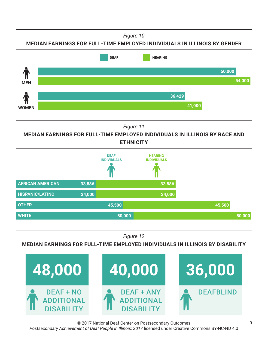*Figure 10*

**MEDIAN EARNINGS FOR FULL-TIME EMPLOYED INDIVIDUALS IN ILLINOIS BY GENDER**



*Figure 11*

**MEDIAN EARNINGS FOR FULL-TIME EMPLOYED INDIVIDUALS IN ILLINOIS BY RACE AND ETHNICITY**



*Figure 12*

**MEDIAN EARNINGS FOR FULL-TIME EMPLOYED INDIVIDUALS IN ILLINOIS BY DISABILITY**



© 2017 National Deaf Center on Postsecondary Outcomes *Postsecondary Achievement of Deaf People in Illinois: 2017* licensed under Creative Commons BY-NC-ND 4.0